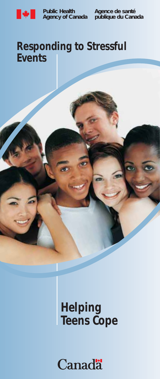

**Public Health**

**Agency of Canada publique du Canada Agence de santé**

## **Responding to Stressful Events**

# **Helping Teens Cope**

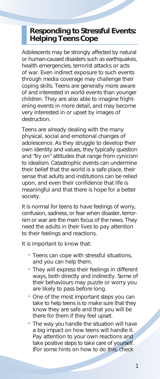#### **Responding to Stressful Events: Helping Teens Cope**

Adolescents may be strongly affected by natural or human-caused disasters such as earthquakes, health emergencies, terrorist attacks or acts of war. Even indirect exposure to such events through media coverage may challenge their coping skills. Teens are generally more aware of and interested in world events than younger children. They are also able to imagine frightening events in more detail, and may become very interested in or upset by images of destruction.

Teens are already dealing with the many physical, social and emotional changes of adolescence. As they struggle to develop their own identity and values, they typically question and "try on" attitudes that range from cynicism to idealism. Catastrophic events can undermine their belief that the world is a safe place, their sense that adults and institutions can be relied upon, and even their confidence that life is meaningful and that there is hope for a better society.

It is normal for teens to have feelings of worry, confusion, sadness, or fear when disaster, terrorism or war are the main focus of the news. They need the adults in their lives to pay attention to their feelings and reactions.

It is important to know that:<br>

- Teens can cope with stressful situations, and you can help them.
- They will express their feelings in different ways, both directly and indirectly. Some of their behaviours may puzzle or worry you are likely to pass before long.
- One of the most important steps you can take to help teens is to make sure that they know they are safe and that you will be there for them if they feel upset.
- The way *you* handle the situation will have a big impact on how teens will handle it. Pay attention to your own reactions and take positive steps to take care of yourself. (For some hints on how to do this, check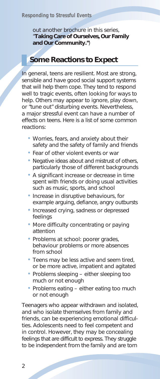out another brochure in this series, "**Taking Care of Ourselves, Our Family and Our Community."**)

#### **Some Reactions to Expect**

In general, teens are resilient. Most are strong, sensible and have good social support systems that will help them cope. They tend to respond well to tragic events, often looking for ways to help. Others may appear to ignore, play down, or "tune out" disturbing events. Nevertheless, a major stressful event can have a number of effects on teens. Here is a list of some common reactions: •

- Worries, fears, and anxiety about their safety and the safety of family and friends
- Fear of other violent events or war
- Negative ideas about and mistrust of others, particularly those of different backgrounds
- A significant increase or decrease in time spent with friends or doing usual activities such as music, sports, and school
- Increase in disruptive behaviours, for example arguing, defiance, angry outbursts
- Increased crying, sadness or depressed feelings
- More difficulty concentrating or paying attention
- Problems at school: poorer grades, behaviour problems or more absences from school
- Teens may be less active and seem tired, or be more active, impatient and agitated
- Problems sleeping either sleeping too much or not enough
- Problems eating either eating too much or not enough

Teenagers who appear withdrawn and isolated, and who isolate themselves from family and friends, can be experiencing emotional difficulties. Adolescents need to feel competent and in control. However, they may be concealing feelings that are difficult to express. They struggle to be independent from the family and are torn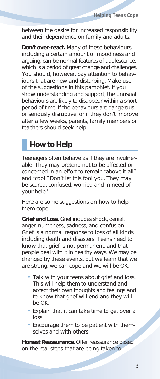between the desire for increased responsibility and their dependence on family and adults.

**Don't over-react.** Many of these behaviours, including a certain amount of moodiness and arguing, can be normal features of adolescence, which is a period of great change and challenges. You should, however, pay attention to behaviours that are new and disturbing. Make use of the suggestions in this pamphlet. If you show understanding and support, the unusual behaviours are likely to disappear within a short period of time. If the behaviours are dangerous or seriously disruptive, or if they don't improve after a few weeks, parents, family members or teachers should seek help.

#### **How to Help**

Teenagers often behave as if they are invulnerable. They may pretend not to be affected or concerned in an effort to remain "above it all" and "cool." Don't let this fool you. They may be scared, confused, worried and in need of your help.1

Here are some suggestions on how to help them cope:

**Grief and Loss.** Grief includes shock, denial, anger, numbness, sadness, and confusion. Grief is a normal response to loss of all kinds including death and disasters. Teens need to know that grief is not permanent, and that people deal with it in healthy ways. We may be changed by these events, but we learn that we are strong, we can cope and we will be OK. •

- Talk with your teens about grief and loss. This will help them to understand and accept their own thoughts and feelings and to know that grief will end and they will be OK.
- Explain that it can take time to get over a loss.
- Encourage them to be patient with themselves and with others.

**Honest Reassurance.** Offer reassurance based on the real steps that are being taken to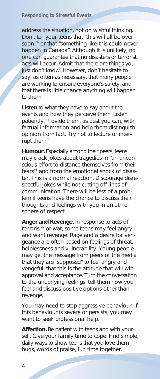address the situation, not on wishful thinking. Don't tell your teens that "this will all be over soon,"<sup>1</sup> or that "something like this could never happen in Canada". Although it is unlikely, no one can guarantee that no disasters or terrorist acts will occur. Admit that there are things you just don't know. However, don't hesitate to say, as often as necessary, that many people are working to ensure everyone's safety, and that there is little chance anything will happen to them.

**Listen** to what they have to say about the events and how they perceive them. Listen patiently. Provide them, as best you can, with factual information and help them distinguish opinion from fact. Try not to lecture or interrupt them. $<sup>1</sup>$ </sup>

**Humour.** Especially among their peers, teens may crack jokes about tragedies in "an unconscious effort to distance themselves from their fears"<sup>1</sup> and from the emotional shock of disaster. This is a normal reaction. Discourage disrespectful jokes while not cutting off lines of communication. There will be less of a problem if teens have the chance to discuss their thoughts and feelings with you in an atmosphere of respect.

**Anger and Revenge.** In response to acts of terrorism or war, some teens may feel angry and want revenge. Rage and a desire for vengeance are often based on feelings of threat, helplessness and vulnerability. Young people may get the message from peers or the media that they are "supposed" to feel angry and vengeful, that this is the attitude that will win approval and acceptance. Turn the conversation to the underlying feelings, tell them how you feel and discuss positive options other than revenge.

You may need to stop aggressive behaviour. If this behaviour is severe or persists, you may want to seek professional help.

**Affection.** Be patient with teens and with yourself. Give your family time to cope. Find simple, daily ways to show teens that you love them hugs, words of praise, fun time together.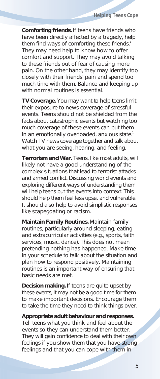**Comforting friends.** If teens have friends who have been directly affected by a tragedy, help them find ways of comforting these friends.<sup>1</sup> They may need help to know how to offer comfort and support. They may avoid talking to these friends out of fear of causing more pain. On the other hand, they may identify too closely with their friends' pain and spend too much time with them. Balance and keeping up with normal routines is essential.

**TV Coverage.** You may want to help teens limit their exposure to news coverage of stressful events. Teens should not be shielded from the facts about catastrophic events but watching too much coverage of these events can put them in an emotionally overloaded, anxious state.<sup>1</sup> Watch TV news coverage together and talk about what you are seeing, hearing, and feeling.

**Terrorism and War.** Teens, like most adults, will likely not have a good understanding of the complex situations that lead to terrorist attacks and armed conflict. Discussing world events and exploring different ways of understanding them will help teens put the events into context. This should help them feel less upset and vulnerable. It should also help to avoid simplistic responses like scapegoating or racism.

**Maintain Family Routines.** Maintain family routines, particularly around sleeping, eating and extracurricular activities (e.g., sports, faith services, music, dance). This does not mean pretending nothing has happened. Make time in your schedule to talk about the situation and plan how to respond positively. Maintaining routines is an important way of ensuring that basic needs are met.

**Decision making.** If teens are quite upset by these events, it may not be a good time for them to make important decisions. Encourage them to take the time they need to think things over.

**Appropriate adult behaviour and responses.** Tell teens what you think and feel about the events so they can understand them better. They will gain confidence to deal with their own feelings if you show them that you have strong feelings and that you can cope with them in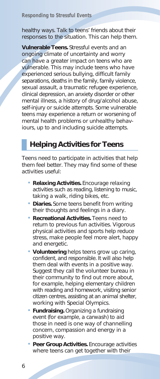healthy ways. Talk to teens' friends about their responses to the situation. This can help them.

**Vulnerable Teens.** Stressful events and an ongoing climate of uncertainty and worry can have a greater impact on teens who are vulnerable. This may include teens who have experienced serious bullying, difficult family separations, deaths in the family, family violence, sexual assault, a traumatic refugee experience, clinical depression, an anxiety disorder or other mental illness, a history of drug/alcohol abuse, self-injury or suicide attempts. Some vulnerable teens may experience a return or worsening of mental health problems or unhealthy behaviours, up to and including suicide attempts.

### **Helping Activities for Teens**

Teens need to participate in activities that help them feel better. They may find some of these activities useful: •

- **Relaxing Activities.** Encourage relaxing activities such as reading, listening to music, taking a walk, riding bikes, etc.
- **Diaries.** Some teens benefit from writing their thoughts and feelings in a diary.
- **Recreational Activities.** Teens need to return to previous fun activities. Vigorous physical activities and sports help reduce stress, make people feel more alert, happy and energetic.
- **Volunteering** helps teens grow up caring, confident, and responsible. It will also help them deal with events in a positive way. Suggest they call the volunteer bureau in their community to find out more about, for example, helping elementary children with reading and homework, visiting senior citizen centres, assisting at an animal shelter, working with Special Olympics.
- **Fundraising.** Organizing a fundraising event (for example, a carwash) to aid those in need is one way of channelling concern, compassion and energy in a positive way.
- **Peer Group Activities.** Encourage activities where teens can get together with their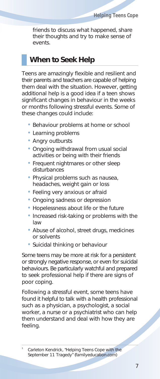friends to discuss what happened, share their thoughts and try to make sense of events.

#### **When to Seek Help**

Teens are amazingly flexible and resilient and their parents and teachers are capable of helping them deal with the situation. However, getting additional help is a good idea if a teen shows significant changes in behaviour in the weeks or months following stressful events. Some of these changes could include: •

- Behaviour problems at home or school
- Learning problems •
- Angry outbursts
- Ongoing withdrawal from usual social activities or being with their friends
- Frequent nightmares or other sleep disturbances
- Physical problems such as nausea, headaches, weight gain or loss
- Feeling very anxious or afraid
- Ongoing sadness or depression •
- Hopelessness about life or the future •
- Increased risk-taking or problems with the law
- Abuse of alcohol, street drugs, medicines or solvents
- Suicidal thinking or behaviour

Some teens may be more at risk for a persistent or strongly negative response, or even for suicidal behaviours. Be particularly watchful and prepared to seek professional help if there are signs of poor coping.

Following a stressful event, some teens have found it helpful to talk with a health professional such as a physician, a psychologist, a social worker, a nurse or a psychiatrist who can help them understand and deal with how they are feeling.

<sup>1</sup> Carleton Kendrick, "Helping Teens Cope with the September 11 Tragedy" (familyeducation.com)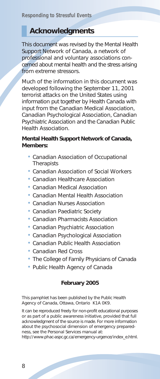#### **Acknowledgments**

This document was revised by the Mental Health Support Network of Canada, a network of professional and voluntary associations concerned about mental health and the stress arising from extreme stressors.

Much of the information in this document was developed following the September 11, 2001 terrorist attacks on the United States using information put together by Health Canada with input from the Canadian Medical Association, Canadian Psychological Association, Canadian Psychiatric Association and the Canadian Public Health Association.

#### **Mental Health Support Network of Canada, Members:** •

- Canadian Association of Occupational **Therapists**
- Canadian Association of Social Workers •
- Canadian Healthcare Association •
- Canadian Medical Association •
- Canadian Mental Health Association •
- Canadian Nurses Association •
- Canadian Paediatric Society •
- Canadian Pharmacists Association •
- Canadian Psychiatric Association •
- Canadian Psychological Association •
- Canadian Public Health Association •
- Canadian Red Cross •
- The College of Family Physicians of Canada
- Public Health Agency of Canada

#### **February 2005**

This pamphlet has been published by the Public Health Agency of Canada, Ottawa, Ontario K1A 0K9.

It can be reproduced freely for non-profit educational purposes or as part of a public awareness initiative, provided that full acknowledgment of the source is made. For more information about the psychosocial dimension of emergency preparedness, see the Personal Services manual at:

http://www.phac-aspc.gc.ca/emergency-urgence/index\_e.html.